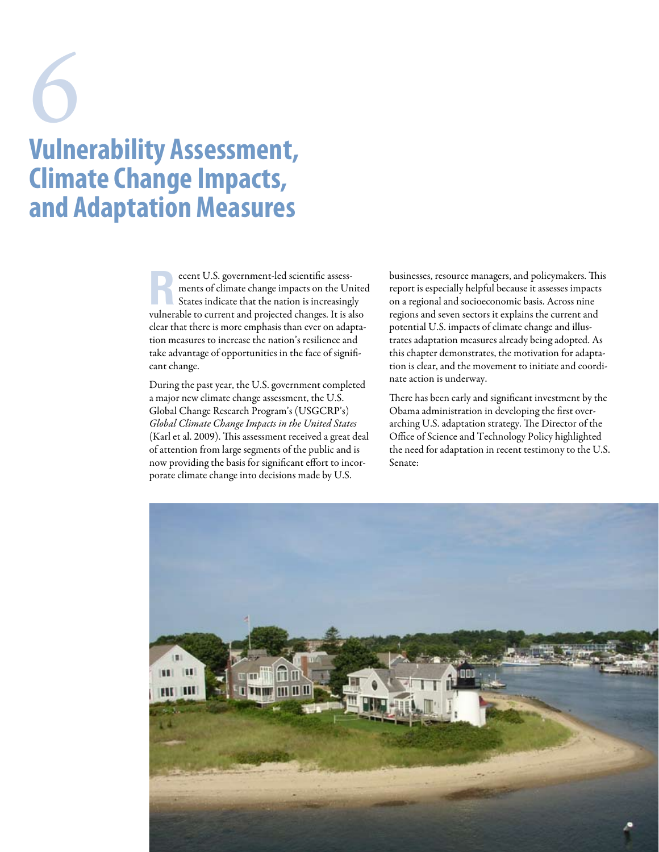# **Vulnerability Assessment, Climate Change Impacts, and Adaptation Measures** 6

Execut U.S. government-led scientific assessments of climate change impacts on the Un<br>States indicate that the nation is increasing ments of climate change impacts on the United States indicate that the nation is increasingly vulnerable to current and projected changes. It is also clear that there is more emphasis than ever on adaptation measures to increase the nation's resilience and take advantage of opportunities in the face of significant change.

During the past year, the U.S. government completed a major new climate change assessment, the U.S. Global Change Research Program's (USGCRP's) *Global Climate Change Impacts in the United States*  (Karl et al. 2009). This assessment received a great deal of attention from large segments of the public and is now providing the basis for significant effort to incorporate climate change into decisions made by U.S.

businesses, resource managers, and policymakers. This report is especially helpful because it assesses impacts on a regional and socioeconomic basis. Across nine regions and seven sectors it explains the current and potential U.S. impacts of climate change and illustrates adaptation measures already being adopted. As this chapter demonstrates, the motivation for adaptation is clear, and the movement to initiate and coordinate action is underway.

There has been early and significant investment by the Obama administration in developing the first overarching U.S. adaptation strategy. The Director of the Office of Science and Technology Policy highlighted the need for adaptation in recent testimony to the U.S. Senate:

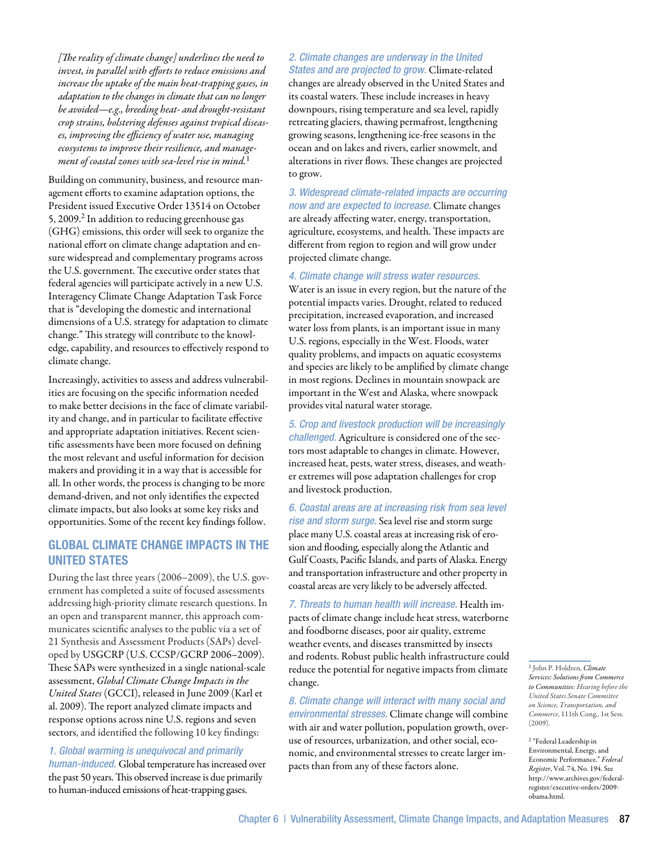*[The reality of climate change] underlines the need to invest, in parallel with efforts to reduce emissions and increase the uptake of the main heat-trapping gases, in adaptation to the changes in climate that can no longer be avoided—e.g., breeding heat- and drought-resistant crop strains, bolstering defenses against tropical diseases, improving the efficiency of water use, managing ecosystems to improve their resilience, and management of coastal zones with sea-level rise in mind.*<sup>1</sup>

Building on community, business, and resource management efforts to examine adaptation options, the President issued Executive Order 13514 on October 5, 2009.<sup>2</sup> In addition to reducing greenhouse gas (GHG) emissions, this order will seek to organize the national effort on climate change adaptation and ensure widespread and complementary programs across the U.S. government. The executive order states that federal agencies will participate actively in a new U.S. Interagency Climate Change Adaptation Task Force that is "developing the domestic and international dimensions of a U.S. strategy for adaptation to climate change." This strategy will contribute to the knowledge, capability, and resources to effectively respond to climate change.

Increasingly, activities to assess and address vulnerabilities are focusing on the specific information needed to make better decisions in the face of climate variability and change, and in particular to facilitate effective and appropriate adaptation initiatives. Recent scientific assessments have been more focused on defining the most relevant and useful information for decision makers and providing it in a way that is accessible for all. In other words, the process is changing to be more demand-driven, and not only identifies the expected climate impacts, but also looks at some key risks and opportunities. Some of the recent key findings follow.

# Global Climate Change Impacts in the **UNITED STATES**

During the last three years (2006–2009), the U.S. government has completed a suite of focused assessments addressing high-priority climate research questions. In an open and transparent manner, this approach communicates scientific analyses to the public via a set of 21 Synthesis and Assessment Products (SAPs) developed by USGCRP (U.S. CCSP/GCRP 2006–2009). These SAPs were synthesized in a single national-scale assessment, *Global Climate Change Impacts in the United States* (GCCI), released in June 2009 (Karl et al. 2009). The report analyzed climate impacts and response options across nine U.S. regions and seven sectors, and identified the following 10 key findings:

# *1. Global warming is unequivocal and primarily*

*human-induced.* Global temperature has increased over the past 50 years. This observed increase is due primarily to human-induced emissions of heat-trapping gases.

# *2. Climate changes are underway in the United States and are projected to grow.* Climate-related changes are already observed in the United States and its coastal waters. These include increases in heavy downpours, rising temperature and sea level, rapidly retreating glaciers, thawing permafrost, lengthening growing seasons, lengthening ice-free seasons in the ocean and on lakes and rivers, earlier snowmelt, and alterations in river flows. These changes are projected to grow.

*3. Widespread climate-related impacts are occurring now and are expected to increase.* Climate changes are already affecting water, energy, transportation, agriculture, ecosystems, and health. These impacts are different from region to region and will grow under projected climate change.

## *4. Climate change will stress water resources.*

Water is an issue in every region, but the nature of the potential impacts varies. Drought, related to reduced precipitation, increased evaporation, and increased water loss from plants, is an important issue in many U.S. regions, especially in the West. Floods, water quality problems, and impacts on aquatic ecosystems and species are likely to be amplified by climate change in most regions. Declines in mountain snowpack are important in the West and Alaska, where snowpack provides vital natural water storage.

*5. Crop and livestock production will be increasingly challenged.* Agriculture is considered one of the sectors most adaptable to changes in climate. However, increased heat, pests, water stress, diseases, and weather extremes will pose adaptation challenges for crop and livestock production.

*6. Coastal areas are at increasing risk from sea level rise and storm surge.* Sea level rise and storm surge place many U.S. coastal areas at increasing risk of erosion and flooding, especially along the Atlantic and Gulf Coasts, Pacific Islands, and parts of Alaska. Energy and transportation infrastructure and other property in coastal areas are very likely to be adversely affected.

*7. Threats to human health will increase.* Health impacts of climate change include heat stress, waterborne and foodborne diseases, poor air quality, extreme weather events, and diseases transmitted by insects and rodents. Robust public health infrastructure could reduce the potential for negative impacts from climate change.

*8. Climate change will interact with many social and environmental stresses.* Climate change will combine with air and water pollution, population growth, overuse of resources, urbanization, and other social, economic, and environmental stresses to create larger impacts than from any of these factors alone.

<sup>1</sup> John P. Holdren, *Climate Services: Solutions from Commerce to Communities: Hearing before the United States Senate Committee on Science, Transportation, and Commerce*, 111th Cong., 1st Sess. (2009).

2 "Federal Leadership in Environmental, Energy, and Economic Performance." *Federal Register*, Vol. 74, No. 194. See http://www.archives.gov/federalregister/executive-orders/2009 obama.html.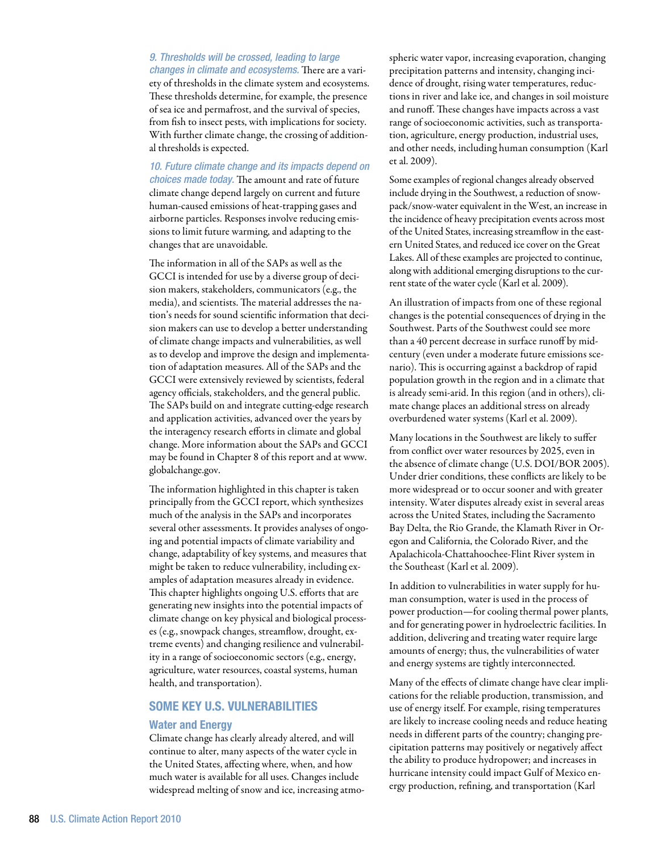*9. Thresholds will be crossed, leading to large changes in climate and ecosystems.* There are a variety of thresholds in the climate system and ecosystems. These thresholds determine, for example, the presence of sea ice and permafrost, and the survival of species, from fish to insect pests, with implications for society. With further climate change, the crossing of additional thresholds is expected.

*10. Future climate change and its impacts depend on choices made today.* The amount and rate of future climate change depend largely on current and future human-caused emissions of heat-trapping gases and airborne particles. Responses involve reducing emissions to limit future warming, and adapting to the changes that are unavoidable.

The information in all of the SAPs as well as the GCCI is intended for use by a diverse group of decision makers, stakeholders, communicators (e.g., the media), and scientists. The material addresses the nation's needs for sound scientific information that decision makers can use to develop a better understanding of climate change impacts and vulnerabilities, as well as to develop and improve the design and implementation of adaptation measures. All of the SAPs and the GCCI were extensively reviewed by scientists, federal agency officials, stakeholders, and the general public. The SAPs build on and integrate cutting-edge research and application activities, advanced over the years by the interagency research efforts in climate and global change. More information about the SAPs and GCCI may be found in Chapter 8 of this report and at www. globalchange.gov.

The information highlighted in this chapter is taken principally from the GCCI report, which synthesizes much of the analysis in the SAPs and incorporates several other assessments. It provides analyses of ongoing and potential impacts of climate variability and change, adaptability of key systems, and measures that might be taken to reduce vulnerability, including examples of adaptation measures already in evidence. This chapter highlights ongoing U.S. efforts that are generating new insights into the potential impacts of climate change on key physical and biological processes (e.g., snowpack changes, streamflow, drought, extreme events) and changing resilience and vulnerability in a range of socioeconomic sectors (e.g., energy, agriculture, water resources, coastal systems, human health, and transportation).

# Some Key U.S. Vulnerabilities

#### Water and Energy

Climate change has clearly already altered, and will continue to alter, many aspects of the water cycle in the United States, affecting where, when, and how much water is available for all uses. Changes include widespread melting of snow and ice, increasing atmo-

spheric water vapor, increasing evaporation, changing precipitation patterns and intensity, changing incidence of drought, rising water temperatures, reductions in river and lake ice, and changes in soil moisture and runoff. These changes have impacts across a vast range of socioeconomic activities, such as transportation, agriculture, energy production, industrial uses, and other needs, including human consumption (Karl et al. 2009).

Some examples of regional changes already observed include drying in the Southwest, a reduction of snowpack/snow-water equivalent in the West, an increase in the incidence of heavy precipitation events across most of the United States, increasing streamflow in the eastern United States, and reduced ice cover on the Great Lakes. All of these examples are projected to continue, along with additional emerging disruptions to the current state of the water cycle (Karl et al. 2009).

An illustration of impacts from one of these regional changes is the potential consequences of drying in the Southwest. Parts of the Southwest could see more than a 40 percent decrease in surface runoff by midcentury (even under a moderate future emissions scenario). This is occurring against a backdrop of rapid population growth in the region and in a climate that is already semi-arid. In this region (and in others), climate change places an additional stress on already overburdened water systems (Karl et al. 2009).

Many locations in the Southwest are likely to suffer from conflict over water resources by 2025, even in the absence of climate change (U.S. DOI/BOR 2005). Under drier conditions, these conflicts are likely to be more widespread or to occur sooner and with greater intensity. Water disputes already exist in several areas across the United States, including the Sacramento Bay Delta, the Rio Grande, the Klamath River in Oregon and California, the Colorado River, and the Apalachicola-Chattahoochee-Flint River system in the Southeast (Karl et al. 2009).

In addition to vulnerabilities in water supply for human consumption, water is used in the process of power production—for cooling thermal power plants, and for generating power in hydroelectric facilities. In addition, delivering and treating water require large amounts of energy; thus, the vulnerabilities of water and energy systems are tightly interconnected.

Many of the effects of climate change have clear implications for the reliable production, transmission, and use of energy itself. For example, rising temperatures are likely to increase cooling needs and reduce heating needs in different parts of the country; changing precipitation patterns may positively or negatively affect the ability to produce hydropower; and increases in hurricane intensity could impact Gulf of Mexico energy production, refining, and transportation (Karl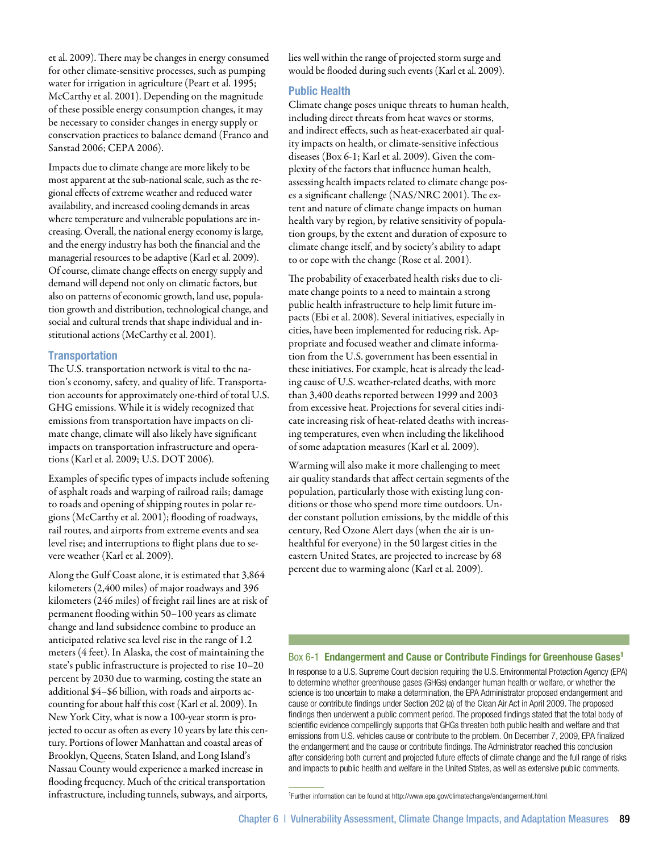et al. 2009). There may be changes in energy consumed for other climate-sensitive processes, such as pumping water for irrigation in agriculture (Peart et al. 1995; McCarthy et al. 2001). Depending on the magnitude of these possible energy consumption changes, it may be necessary to consider changes in energy supply or conservation practices to balance demand (Franco and Sanstad 2006; CEPA 2006).

Impacts due to climate change are more likely to be most apparent at the sub-national scale, such as the regional effects of extreme weather and reduced water availability, and increased cooling demands in areas where temperature and vulnerable populations are increasing. Overall, the national energy economy is large, and the energy industry has both the financial and the managerial resources to be adaptive (Karl et al. 2009). Of course, climate change effects on energy supply and demand will depend not only on climatic factors, but also on patterns of economic growth, land use, population growth and distribution, technological change, and social and cultural trends that shape individual and institutional actions (McCarthy et al. 2001).

## **Transportation**

The U.S. transportation network is vital to the nation's economy, safety, and quality of life. Transportation accounts for approximately one-third of total U.S. GHG emissions. While it is widely recognized that emissions from transportation have impacts on climate change, climate will also likely have significant impacts on transportation infrastructure and operations (Karl et al. 2009; U.S. DOT 2006).

Examples of specific types of impacts include softening of asphalt roads and warping of railroad rails; damage to roads and opening of shipping routes in polar regions (McCarthy et al. 2001); flooding of roadways, rail routes, and airports from extreme events and sea level rise; and interruptions to flight plans due to severe weather (Karl et al. 2009).

Along the Gulf Coast alone, it is estimated that 3,864 kilometers (2,400 miles) of major roadways and 396 kilometers (246 miles) of freight rail lines are at risk of permanent flooding within 50–100 years as climate change and land subsidence combine to produce an anticipated relative sea level rise in the range of 1.2 meters (4 feet). In Alaska, the cost of maintaining the state's public infrastructure is projected to rise 10–20 percent by 2030 due to warming, costing the state an additional \$4–\$6 billion, with roads and airports accounting for about half this cost (Karl et al. 2009). In New York City, what is now a 100-year storm is projected to occur as often as every 10 years by late this century. Portions of lower Manhattan and coastal areas of Brooklyn, Queens, Staten Island, and Long Island's Nassau County would experience a marked increase in flooding frequency. Much of the critical transportation infrastructure, including tunnels, subways, and airports,

lies well within the range of projected storm surge and would be flooded during such events (Karl et al. 2009).

## Public Health

Climate change poses unique threats to human health, including direct threats from heat waves or storms, and indirect effects, such as heat-exacerbated air quality impacts on health, or climate-sensitive infectious diseases (Box 6-1; Karl et al. 2009). Given the complexity of the factors that influence human health, assessing health impacts related to climate change poses a significant challenge (NAS/NRC 2001). The extent and nature of climate change impacts on human health vary by region, by relative sensitivity of population groups, by the extent and duration of exposure to climate change itself, and by society's ability to adapt to or cope with the change (Rose et al. 2001).

The probability of exacerbated health risks due to climate change points to a need to maintain a strong public health infrastructure to help limit future impacts (Ebi et al. 2008). Several initiatives, especially in cities, have been implemented for reducing risk. Appropriate and focused weather and climate information from the U.S. government has been essential in these initiatives. For example, heat is already the leading cause of U.S. weather-related deaths, with more than 3,400 deaths reported between 1999 and 2003 from excessive heat. Projections for several cities indicate increasing risk of heat-related deaths with increasing temperatures, even when including the likelihood of some adaptation measures (Karl et al. 2009).

Warming will also make it more challenging to meet air quality standards that affect certain segments of the population, particularly those with existing lung conditions or those who spend more time outdoors. Under constant pollution emissions, by the middle of this century, Red Ozone Alert days (when the air is unhealthful for everyone) in the 50 largest cities in the eastern United States, are projected to increase by 68 percent due to warming alone (Karl et al. 2009).

## Box 6-1 Endangerment and Cause or Contribute Findings for Greenhouse Gases<sup>1</sup>

In response to a U.S. Supreme Court decision requiring the U.S. Environmental Protection Agency (EPA) to determine whether greenhouse gases (GHGs) endanger human health or welfare, or whether the science is too uncertain to make a determination, the EPA Administrator proposed endangerment and cause or contribute findings under Section 202 (a) of the Clean Air Act in April 2009. The proposed findings then underwent a public comment period. The proposed findings stated that the total body of scientific evidence compellingly supports that GHGs threaten both public health and welfare and that emissions from U.S. vehicles cause or contribute to the problem. On December 7, 2009, EPA finalized the endangerment and the cause or contribute findings. The Administrator reached this conclusion after considering both current and projected future effects of climate change and the full range of risks and impacts to public health and welfare in the United States, as well as extensive public comments.

 $\overline{\phantom{a}}$ 

<sup>1</sup>Further information can be found at http://www.epa.gov/climatechange/endangerment.html.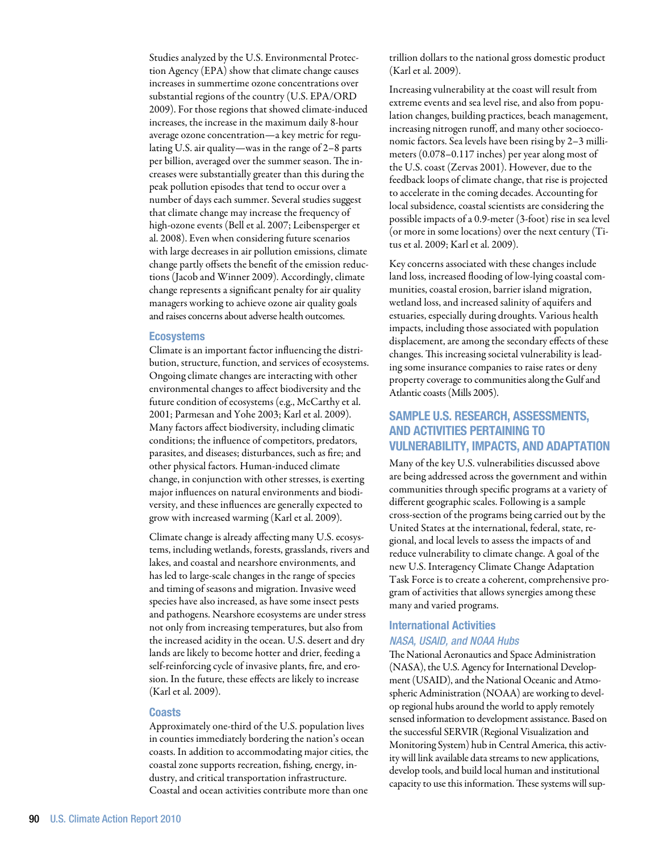Studies analyzed by the U.S. Environmental Protection Agency (EPA) show that climate change causes increases in summertime ozone concentrations over substantial regions of the country (U.S. EPA/ORD 2009). For those regions that showed climate-induced increases, the increase in the maximum daily 8-hour average ozone concentration—a key metric for regulating U.S. air quality—was in the range of 2–8 parts per billion, averaged over the summer season. The increases were substantially greater than this during the peak pollution episodes that tend to occur over a number of days each summer. Several studies suggest that climate change may increase the frequency of high-ozone events (Bell et al. 2007; Leibensperger et al. 2008). Even when considering future scenarios with large decreases in air pollution emissions, climate change partly offsets the benefit of the emission reductions (Jacob and Winner 2009). Accordingly, climate change represents a significant penalty for air quality managers working to achieve ozone air quality goals and raises concerns about adverse health outcomes.

## **Ecosystems**

Climate is an important factor influencing the distribution, structure, function, and services of ecosystems. Ongoing climate changes are interacting with other environmental changes to affect biodiversity and the future condition of ecosystems (e.g., McCarthy et al. 2001; Parmesan and Yohe 2003; Karl et al. 2009). Many factors affect biodiversity, including climatic conditions; the influence of competitors, predators, parasites, and diseases; disturbances, such as fire; and other physical factors. Human-induced climate change, in conjunction with other stresses, is exerting major influences on natural environments and biodiversity, and these influences are generally expected to grow with increased warming (Karl et al. 2009).

Climate change is already affecting many U.S. ecosystems, including wetlands, forests, grasslands, rivers and lakes, and coastal and nearshore environments, and has led to large-scale changes in the range of species and timing of seasons and migration. Invasive weed species have also increased, as have some insect pests and pathogens. Nearshore ecosystems are under stress not only from increasing temperatures, but also from the increased acidity in the ocean. U.S. desert and dry lands are likely to become hotter and drier, feeding a self-reinforcing cycle of invasive plants, fire, and erosion. In the future, these effects are likely to increase (Karl et al. 2009).

#### **Coasts**

Approximately one-third of the U.S. population lives in counties immediately bordering the nation's ocean coasts. In addition to accommodating major cities, the coastal zone supports recreation, fishing, energy, industry, and critical transportation infrastructure. Coastal and ocean activities contribute more than one

trillion dollars to the national gross domestic product (Karl et al. 2009).

Increasing vulnerability at the coast will result from extreme events and sea level rise, and also from population changes, building practices, beach management, increasing nitrogen runoff, and many other socioeconomic factors. Sea levels have been rising by 2–3 millimeters (0.078–0.117 inches) per year along most of the U.S. coast (Zervas 2001). However, due to the feedback loops of climate change, that rise is projected to accelerate in the coming decades. Accounting for local subsidence, coastal scientists are considering the possible impacts of a 0.9-meter (3-foot) rise in sea level (or more in some locations) over the next century (Titus et al. 2009; Karl et al. 2009).

Key concerns associated with these changes include land loss, increased flooding of low-lying coastal communities, coastal erosion, barrier island migration, wetland loss, and increased salinity of aquifers and estuaries, especially during droughts. Various health impacts, including those associated with population displacement, are among the secondary effects of these changes. This increasing societal vulnerability is leading some insurance companies to raise rates or deny property coverage to communities along the Gulf and Atlantic coasts (Mills 2005).

# Sample u.s. Research, Assessments, and Activities Pertaining to Vulnerability, Impacts, and Adaptation

Many of the key U.S. vulnerabilities discussed above are being addressed across the government and within communities through specific programs at a variety of different geographic scales. Following is a sample cross-section of the programs being carried out by the United States at the international, federal, state, regional, and local levels to assess the impacts of and reduce vulnerability to climate change. A goal of the new U.S. Interagency Climate Change Adaptation Task Force is to create a coherent, comprehensive program of activities that allows synergies among these many and varied programs.

# International Activities *NASA, USAID, and NOAA Hubs*

The National Aeronautics and Space Administration (NASA), the U.S. Agency for International Development (USAID), and the National Oceanic and Atmospheric Administration (NOAA) are working to develop regional hubs around the world to apply remotely sensed information to development assistance. Based on the successful SERVIR (Regional Visualization and Monitoring System) hub in Central America, this activity will link available data streams to new applications, develop tools, and build local human and institutional capacity to use this information. These systems will sup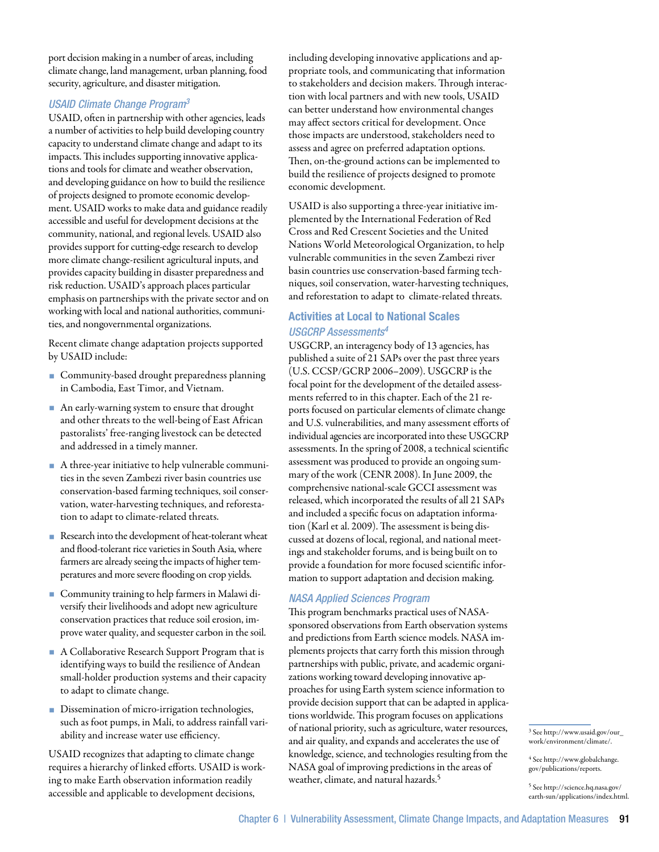port decision making in a number of areas, including climate change, land management, urban planning, food security, agriculture, and disaster mitigation.

# *USAID Climate Change Program3*

USAID, often in partnership with other agencies, leads a number of activities to help build developing country capacity to understand climate change and adapt to its impacts. This includes supporting innovative applications and tools for climate and weather observation, and developing guidance on how to build the resilience of projects designed to promote economic development. USAID works to make data and guidance readily accessible and useful for development decisions at the community, national, and regional levels. USAID also provides support for cutting-edge research to develop more climate change-resilient agricultural inputs, and provides capacity building in disaster preparedness and risk reduction. USAID's approach places particular emphasis on partnerships with the private sector and on working with local and national authorities, communities, and nongovernmental organizations.

Recent climate change adaptation projects supported by USAID include:

- **Community-based drought preparedness planning** in Cambodia, East Timor, and Vietnam.
- An early-warning system to ensure that drought and other threats to the well-being of East African pastoralists' free-ranging livestock can be detected and addressed in a timely manner.
- A three-year initiative to help vulnerable communities in the seven Zambezi river basin countries use conservation-based farming techniques, soil conservation, water-harvesting techniques, and reforestation to adapt to climate-related threats.
- Research into the development of heat-tolerant wheat and flood-tolerant rice varieties in South Asia, where farmers are already seeing the impacts of higher temperatures and more severe flooding on crop yields.
- Community training to help farmers in Malawi diversify their livelihoods and adopt new agriculture conservation practices that reduce soil erosion, improve water quality, and sequester carbon in the soil.
- A Collaborative Research Support Program that is identifying ways to build the resilience of Andean small-holder production systems and their capacity to adapt to climate change.
- Dissemination of micro-irrigation technologies, such as foot pumps, in Mali, to address rainfall variability and increase water use efficiency.

USAID recognizes that adapting to climate change requires a hierarchy of linked efforts. USAID is working to make Earth observation information readily accessible and applicable to development decisions,

including developing innovative applications and appropriate tools, and communicating that information to stakeholders and decision makers. Through interaction with local partners and with new tools, USAID can better understand how environmental changes may affect sectors critical for development. Once those impacts are understood, stakeholders need to assess and agree on preferred adaptation options. Then, on-the-ground actions can be implemented to build the resilience of projects designed to promote economic development.

USAID is also supporting a three-year initiative implemented by the International Federation of Red Cross and Red Crescent Societies and the United Nations World Meteorological Organization, to help vulnerable communities in the seven Zambezi river basin countries use conservation-based farming techniques, soil conservation, water-harvesting techniques, and reforestation to adapt to climate-related threats.

# Activities at Local to National Scales *USGCRP Assessments4*

USGCRP, an interagency body of 13 agencies, has published a suite of 21 SAPs over the past three years (U.S. CCSP/GCRP 2006–2009). USGCRP is the focal point for the development of the detailed assessments referred to in this chapter. Each of the 21 reports focused on particular elements of climate change and U.S. vulnerabilities, and many assessment efforts of individual agencies are incorporated into these USGCRP assessments. In the spring of 2008, a technical scientific assessment was produced to provide an ongoing summary of the work (CENR 2008). In June 2009, the comprehensive national-scale GCCI assessment was released, which incorporated the results of all 21 SAPs and included a specific focus on adaptation information (Karl et al. 2009). The assessment is being discussed at dozens of local, regional, and national meetings and stakeholder forums, and is being built on to provide a foundation for more focused scientific information to support adaptation and decision making.

# *NASA Applied Sciences Program*

This program benchmarks practical uses of NASAsponsored observations from Earth observation systems and predictions from Earth science models. NASA implements projects that carry forth this mission through partnerships with public, private, and academic organizations working toward developing innovative approaches for using Earth system science information to provide decision support that can be adapted in applications worldwide. This program focuses on applications of national priority, such as agriculture, water resources, and air quality, and expands and accelerates the use of knowledge, science, and technologies resulting from the NASA goal of improving predictions in the areas of weather, climate, and natural hazards.5

3 See http://www.usaid.gov/our\_ work/environment/climate/.

4 See http://www.globalchange. gov/publications/reports.

5 See http://science.hq.nasa.gov/ earth-sun/applications/index.html.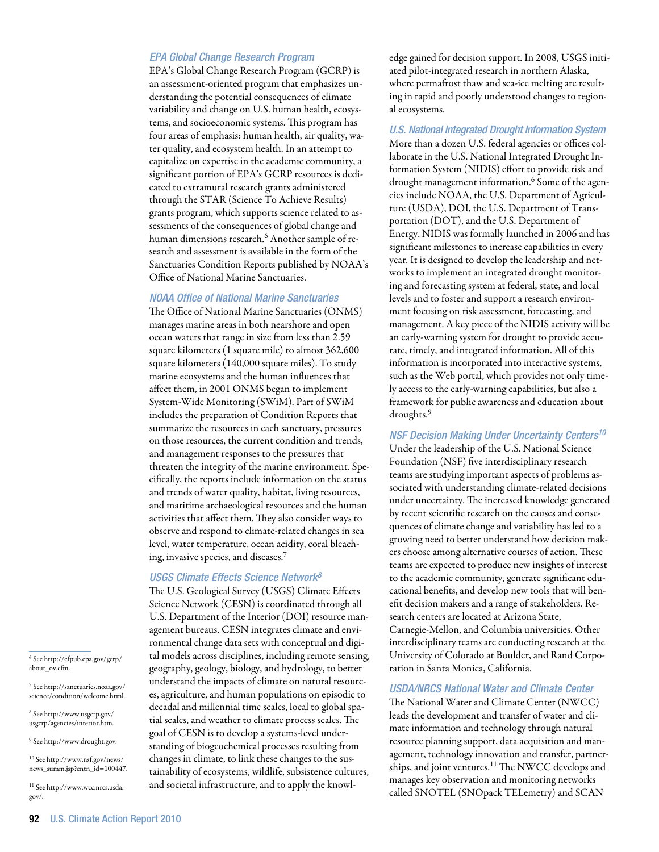## *EPA Global Change Research Program*

EPA's Global Change Research Program (GCRP) is an assessment-oriented program that emphasizes understanding the potential consequences of climate variability and change on U.S. human health, ecosystems, and socioeconomic systems. This program has four areas of emphasis: human health, air quality, water quality, and ecosystem health. In an attempt to capitalize on expertise in the academic community, a significant portion of EPA's GCRP resources is dedicated to extramural research grants administered through the STAR (Science To Achieve Results) grants program, which supports science related to assessments of the consequences of global change and human dimensions research.<sup>6</sup> Another sample of research and assessment is available in the form of the Sanctuaries Condition Reports published by NOAA's Office of National Marine Sanctuaries.

#### *NOAA Office of National Marine Sanctuaries*

The Office of National Marine Sanctuaries (ONMS) manages marine areas in both nearshore and open ocean waters that range in size from less than 2.59 square kilometers (1 square mile) to almost 362,600 square kilometers (140,000 square miles). To study marine ecosystems and the human influences that affect them, in 2001 ONMS began to implement System-Wide Monitoring (SWiM). Part of SWiM includes the preparation of Condition Reports that summarize the resources in each sanctuary, pressures on those resources, the current condition and trends, and management responses to the pressures that threaten the integrity of the marine environment. Specifically, the reports include information on the status and trends of water quality, habitat, living resources, and maritime archaeological resources and the human activities that affect them. They also consider ways to observe and respond to climate-related changes in sea level, water temperature, ocean acidity, coral bleaching, invasive species, and diseases.7

## *USGS Climate Effects Science Network8*

The U.S. Geological Survey (USGS) Climate Effects Science Network (CESN) is coordinated through all U.S. Department of the Interior (DOI) resource management bureaus. CESN integrates climate and environmental change data sets with conceptual and digital models across disciplines, including remote sensing, geography, geology, biology, and hydrology, to better understand the impacts of climate on natural resources, agriculture, and human populations on episodic to decadal and millennial time scales, local to global spatial scales, and weather to climate process scales. The goal of CESN is to develop a systems-level understanding of biogeochemical processes resulting from changes in climate, to link these changes to the sustainability of ecosystems, wildlife, subsistence cultures, and societal infrastructure, and to apply the knowledge gained for decision support. In 2008, USGS initiated pilot-integrated research in northern Alaska, where permafrost thaw and sea-ice melting are resulting in rapid and poorly understood changes to regional ecosystems.

*U.S. National Integrated Drought Information System*  More than a dozen U.S. federal agencies or offices collaborate in the U.S. National Integrated Drought Information System (NIDIS) effort to provide risk and drought management information.<sup>6</sup> Some of the agencies include NOAA, the U.S. Department of Agriculture (USDA), DOI, the U.S. Department of Transportation (DOT), and the U.S. Department of Energy. NIDIS was formally launched in 2006 and has significant milestones to increase capabilities in every year. It is designed to develop the leadership and networks to implement an integrated drought monitoring and forecasting system at federal, state, and local levels and to foster and support a research environment focusing on risk assessment, forecasting, and management. A key piece of the NIDIS activity will be an early-warning system for drought to provide accurate, timely, and integrated information. All of this information is incorporated into interactive systems, such as the Web portal, which provides not only timely access to the early-warning capabilities, but also a framework for public awareness and education about droughts.<sup>9</sup>

## *NSF Decision Making Under Uncertainty Centers10*

Under the leadership of the U.S. National Science Foundation (NSF) five interdisciplinary research teams are studying important aspects of problems associated with understanding climate-related decisions under uncertainty. The increased knowledge generated by recent scientific research on the causes and consequences of climate change and variability has led to a growing need to better understand how decision makers choose among alternative courses of action. These teams are expected to produce new insights of interest to the academic community, generate significant educational benefits, and develop new tools that will benefit decision makers and a range of stakeholders. Research centers are located at Arizona State, Carnegie-Mellon, and Columbia universities. Other interdisciplinary teams are conducting research at the University of Colorado at Boulder, and Rand Corporation in Santa Monica, California.

## *USDA/NRCS National Water and Climate Center*

The National Water and Climate Center (NWCC) leads the development and transfer of water and climate information and technology through natural resource planning support, data acquisition and management, technology innovation and transfer, partnerships, and joint ventures.<sup>11</sup> The NWCC develops and manages key observation and monitoring networks called SNOTEL (SNOpack TELemetry) and SCAN

 $^6$  See http://cfpub.epa.gov/gcrp/  $\,$ about ov.cfm.

7 See http://sanctuaries.noaa.gov/ science/condition/welcome.html.

8 See http://www.usgcrp.gov/ usgcrp/agencies/interior.htm.

9 See http://www.drought.gov.

10 See http://www.nsf.gov/news/ news\_summ.jsp?cntn\_id=100447.

11 See http://www.wcc.nrcs.usda. gov/.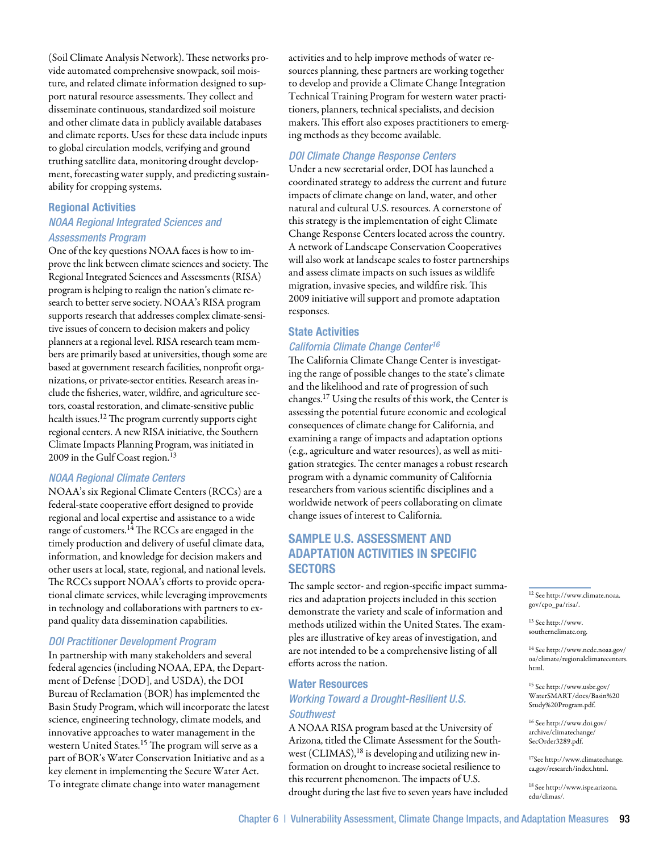(Soil Climate Analysis Network). These networks provide automated comprehensive snowpack, soil moisture, and related climate information designed to support natural resource assessments. They collect and disseminate continuous, standardized soil moisture and other climate data in publicly available databases and climate reports. Uses for these data include inputs to global circulation models, verifying and ground truthing satellite data, monitoring drought development, forecasting water supply, and predicting sustainability for cropping systems.

## Regional Activities

# *NOAA Regional Integrated Sciences and Assessments Program*

One of the key questions NOAA faces is how to improve the link between climate sciences and society. The Regional Integrated Sciences and Assessments (RISA) program is helping to realign the nation's climate research to better serve society. NOAA's RISA program supports research that addresses complex climate-sensitive issues of concern to decision makers and policy planners at a regional level. RISA research team members are primarily based at universities, though some are based at government research facilities, nonprofit organizations, or private-sector entities. Research areas include the fisheries, water, wildfire, and agriculture sectors, coastal restoration, and climate-sensitive public health issues.12 The program currently supports eight regional centers. A new RISA initiative, the Southern Climate Impacts Planning Program, was initiated in 2009 in the Gulf Coast region.<sup>13</sup>

# *NOAA Regional Climate Centers*

NOAA's six Regional Climate Centers (RCCs) are a federal-state cooperative effort designed to provide regional and local expertise and assistance to a wide range of customers.<sup>14</sup> The RCCs are engaged in the timely production and delivery of useful climate data, information, and knowledge for decision makers and other users at local, state, regional, and national levels. The RCCs support NOAA's efforts to provide operational climate services, while leveraging improvements in technology and collaborations with partners to expand quality data dissemination capabilities.

## *DOI Practitioner Development Program*

In partnership with many stakeholders and several federal agencies (including NOAA, EPA, the Department of Defense [DOD], and USDA), the DOI Bureau of Reclamation (BOR) has implemented the Basin Study Program, which will incorporate the latest science, engineering technology, climate models, and innovative approaches to water management in the western United States.<sup>15</sup> The program will serve as a part of BOR's Water Conservation Initiative and as a key element in implementing the Secure Water Act. To integrate climate change into water management

activities and to help improve methods of water resources planning, these partners are working together to develop and provide a Climate Change Integration Technical Training Program for western water practitioners, planners, technical specialists, and decision makers. This effort also exposes practitioners to emerging methods as they become available.

## *DOI Climate Change Response Centers*

Under a new secretarial order, DOI has launched a coordinated strategy to address the current and future impacts of climate change on land, water, and other natural and cultural U.S. resources. A cornerstone of this strategy is the implementation of eight Climate Change Response Centers located across the country. A network of Landscape Conservation Cooperatives will also work at landscape scales to foster partnerships and assess climate impacts on such issues as wildlife migration, invasive species, and wildfire risk. This 2009 initiative will support and promote adaptation responses.

## State Activities

## *California Climate Change Center16*

The California Climate Change Center is investigating the range of possible changes to the state's climate and the likelihood and rate of progression of such changes.17 Using the results of this work, the Center is assessing the potential future economic and ecological consequences of climate change for California, and examining a range of impacts and adaptation options (e.g., agriculture and water resources), as well as mitigation strategies. The center manages a robust research program with a dynamic community of California researchers from various scientific disciplines and a worldwide network of peers collaborating on climate change issues of interest to California.

# Sample U.S. Assessment and Adaptation Activities in Specific **SECTORS**

The sample sector- and region-specific impact summaries and adaptation projects included in this section demonstrate the variety and scale of information and methods utilized within the United States. The examples are illustrative of key areas of investigation, and are not intended to be a comprehensive listing of all efforts across the nation.

# Water Resources *Working Toward a Drought-Resilient U.S. Southwest*

A NOAA RISA program based at the University of Arizona, titled the Climate Assessment for the Southwest (CLIMAS), $18$  is developing and utilizing new information on drought to increase societal resilience to this recurrent phenomenon. The impacts of U.S. drought during the last five to seven years have included 12 See http://www.climate.noaa. gov/cpo\_pa/risa/.

 $^{13}$  See http://www. southernclimate.org.

14 See http://www.ncdc.noaa.gov/ oa/climate/regionalclimatecenters. html.

15 See http://www.usbr.gov/ WaterSMART/docs/Basin%20 Study%20Program.pdf.

16 See http://www.doi.gov/ archive/climatechange/ SecOrder3289.pdf.

17See http://www.climatechange. ca.gov/research/index.html.

18 See http://www.ispe.arizona. edu/climas/.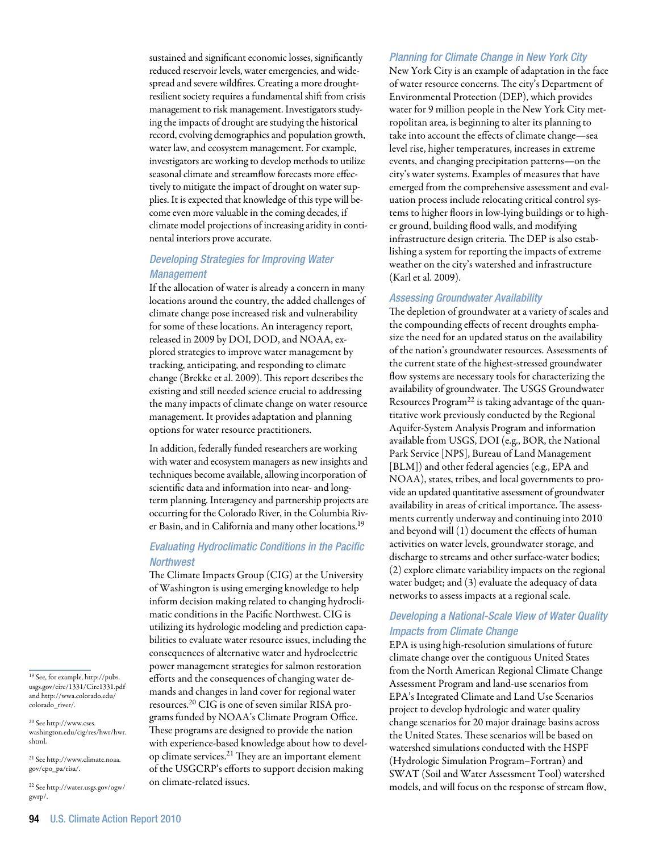sustained and significant economic losses, significantly reduced reservoir levels, water emergencies, and widespread and severe wildfires. Creating a more droughtresilient society requires a fundamental shift from crisis management to risk management. Investigators studying the impacts of drought are studying the historical record, evolving demographics and population growth, water law, and ecosystem management. For example, investigators are working to develop methods to utilize seasonal climate and streamflow forecasts more effectively to mitigate the impact of drought on water supplies. It is expected that knowledge of this type will become even more valuable in the coming decades, if climate model projections of increasing aridity in continental interiors prove accurate.

# *Developing Strategies for Improving Water Management*

If the allocation of water is already a concern in many locations around the country, the added challenges of climate change pose increased risk and vulnerability for some of these locations. An interagency report, released in 2009 by DOI, DOD, and NOAA, explored strategies to improve water management by tracking, anticipating, and responding to climate change (Brekke et al. 2009). This report describes the existing and still needed science crucial to addressing the many impacts of climate change on water resource management. It provides adaptation and planning options for water resource practitioners.

In addition, federally funded researchers are working with water and ecosystem managers as new insights and techniques become available, allowing incorporation of scientific data and information into near- and longterm planning. Interagency and partnership projects are occurring for the Colorado River, in the Columbia River Basin, and in California and many other locations.<sup>19</sup>

# *Evaluating Hydroclimatic Conditions in the Pacific Northwest*

The Climate Impacts Group (CIG) at the University of Washington is using emerging knowledge to help inform decision making related to changing hydroclimatic conditions in the Pacific Northwest. CIG is utilizing its hydrologic modeling and prediction capabilities to evaluate water resource issues, including the consequences of alternative water and hydroelectric power management strategies for salmon restoration efforts and the consequences of changing water demands and changes in land cover for regional water resources.20 CIG is one of seven similar RISA programs funded by NOAA's Climate Program Office. These programs are designed to provide the nation with experience-based knowledge about how to develop climate services.<sup>21</sup> They are an important element of the USGCRP's efforts to support decision making on climate-related issues.

## *Planning for Climate Change in New York City*

New York City is an example of adaptation in the face of water resource concerns. The city's Department of Environmental Protection (DEP), which provides water for 9 million people in the New York City metropolitan area, is beginning to alter its planning to take into account the effects of climate change—sea level rise, higher temperatures, increases in extreme events, and changing precipitation patterns—on the city's water systems. Examples of measures that have emerged from the comprehensive assessment and evaluation process include relocating critical control systems to higher floors in low-lying buildings or to higher ground, building flood walls, and modifying infrastructure design criteria. The DEP is also establishing a system for reporting the impacts of extreme weather on the city's watershed and infrastructure (Karl et al. 2009).

## *Assessing Groundwater Availability*

The depletion of groundwater at a variety of scales and the compounding effects of recent droughts emphasize the need for an updated status on the availability of the nation's groundwater resources. Assessments of the current state of the highest-stressed groundwater flow systems are necessary tools for characterizing the availability of groundwater. The USGS Groundwater Resources Program<sup>22</sup> is taking advantage of the quantitative work previously conducted by the Regional Aquifer-System Analysis Program and information available from USGS, DOI (e.g., BOR, the National Park Service [NPS], Bureau of Land Management [BLM]) and other federal agencies (e.g., EPA and NOAA), states, tribes, and local governments to provide an updated quantitative assessment of groundwater availability in areas of critical importance. The assessments currently underway and continuing into 2010 and beyond will (1) document the effects of human activities on water levels, groundwater storage, and discharge to streams and other surface-water bodies; (2) explore climate variability impacts on the regional water budget; and (3) evaluate the adequacy of data networks to assess impacts at a regional scale.

# *Developing a National-Scale View of Water Quality Impacts from Climate Change*

EPA is using high-resolution simulations of future climate change over the contiguous United States from the North American Regional Climate Change Assessment Program and land-use scenarios from EPA's Integrated Climate and Land Use Scenarios project to develop hydrologic and water quality change scenarios for 20 major drainage basins across the United States. These scenarios will be based on watershed simulations conducted with the HSPF (Hydrologic Simulation Program–Fortran) and SWAT (Soil and Water Assessment Tool) watershed models, and will focus on the response of stream flow,

19 See, for example, http://pubs. usgs.gov/circ/1331/Circ1331.pdf and http://wwa.colorado.edu/ colorado\_river/.

20 See http://www.cses. washington.edu/cig/res/hwr/hwr. shtml.

21 See http://www.climate.noaa. gov/cpo\_pa/risa/.

22 See http://water.usgs.gov/ogw/ gwrp/.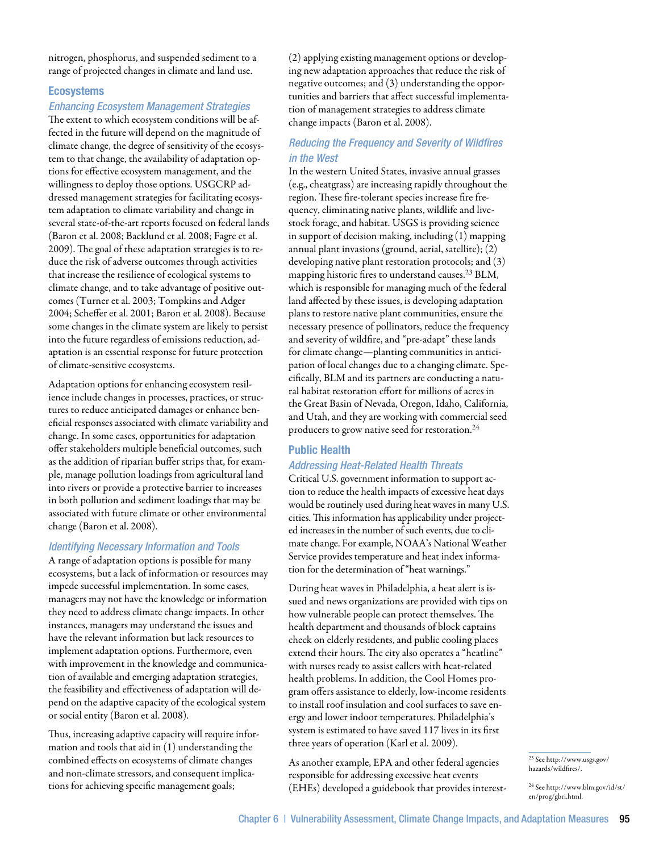nitrogen, phosphorus, and suspended sediment to a range of projected changes in climate and land use.

## **Ecosystems**

## *Enhancing Ecosystem Management Strategies*

The extent to which ecosystem conditions will be affected in the future will depend on the magnitude of climate change, the degree of sensitivity of the ecosystem to that change, the availability of adaptation options for effective ecosystem management, and the willingness to deploy those options. USGCRP addressed management strategies for facilitating ecosystem adaptation to climate variability and change in several state-of-the-art reports focused on federal lands (Baron et al. 2008; Backlund et al. 2008; Fagre et al. 2009). The goal of these adaptation strategies is to reduce the risk of adverse outcomes through activities that increase the resilience of ecological systems to climate change, and to take advantage of positive outcomes (Turner et al. 2003; Tompkins and Adger 2004; Scheffer et al. 2001; Baron et al. 2008). Because some changes in the climate system are likely to persist into the future regardless of emissions reduction, adaptation is an essential response for future protection of climate-sensitive ecosystems.

Adaptation options for enhancing ecosystem resilience include changes in processes, practices, or structures to reduce anticipated damages or enhance beneficial responses associated with climate variability and change. In some cases, opportunities for adaptation offer stakeholders multiple beneficial outcomes, such as the addition of riparian buffer strips that, for example, manage pollution loadings from agricultural land into rivers or provide a protective barrier to increases in both pollution and sediment loadings that may be associated with future climate or other environmental change (Baron et al. 2008).

## *Identifying Necessary Information and Tools*

A range of adaptation options is possible for many ecosystems, but a lack of information or resources may impede successful implementation. In some cases, managers may not have the knowledge or information they need to address climate change impacts. In other instances, managers may understand the issues and have the relevant information but lack resources to implement adaptation options. Furthermore, even with improvement in the knowledge and communication of available and emerging adaptation strategies, the feasibility and effectiveness of adaptation will depend on the adaptive capacity of the ecological system or social entity (Baron et al. 2008).

Thus, increasing adaptive capacity will require information and tools that aid in (1) understanding the combined effects on ecosystems of climate changes and non-climate stressors, and consequent implications for achieving specific management goals;

(2) applying existing management options or developing new adaptation approaches that reduce the risk of negative outcomes; and (3) understanding the opportunities and barriers that affect successful implementation of management strategies to address climate change impacts (Baron et al. 2008).

# *Reducing the Frequency and Severity of Wildfires in the West*

In the western United States, invasive annual grasses (e.g., cheatgrass) are increasing rapidly throughout the region. These fire-tolerant species increase fire frequency, eliminating native plants, wildlife and livestock forage, and habitat. USGS is providing science in support of decision making, including (1) mapping annual plant invasions (ground, aerial, satellite); (2) developing native plant restoration protocols; and (3) mapping historic fires to understand causes.23 BLM, which is responsible for managing much of the federal land affected by these issues, is developing adaptation plans to restore native plant communities, ensure the necessary presence of pollinators, reduce the frequency and severity of wildfire, and "pre-adapt" these lands for climate change—planting communities in anticipation of local changes due to a changing climate. Specifically, BLM and its partners are conducting a natural habitat restoration effort for millions of acres in the Great Basin of Nevada, Oregon, Idaho, California, and Utah, and they are working with commercial seed producers to grow native seed for restoration.24

## Public Health

## *Addressing Heat-Related Health Threats*

Critical U.S. government information to support action to reduce the health impacts of excessive heat days would be routinely used during heat waves in many U.S. cities. This information has applicability under projected increases in the number of such events, due to climate change. For example, NOAA's National Weather Service provides temperature and heat index information for the determination of "heat warnings."

During heat waves in Philadelphia, a heat alert is issued and news organizations are provided with tips on how vulnerable people can protect themselves. The health department and thousands of block captains check on elderly residents, and public cooling places extend their hours. The city also operates a "heatline" with nurses ready to assist callers with heat-related health problems. In addition, the Cool Homes program offers assistance to elderly, low-income residents to install roof insulation and cool surfaces to save energy and lower indoor temperatures. Philadelphia's system is estimated to have saved 117 lives in its first three years of operation (Karl et al. 2009).

As another example, EPA and other federal agencies responsible for addressing excessive heat events (EHEs) developed a guidebook that provides interest-

<sup>23</sup> See http://www.usgs.gov/ hazards/wildfires/.

<sup>24</sup> See http://www.blm.gov/id/st/ en/prog/gbri.html.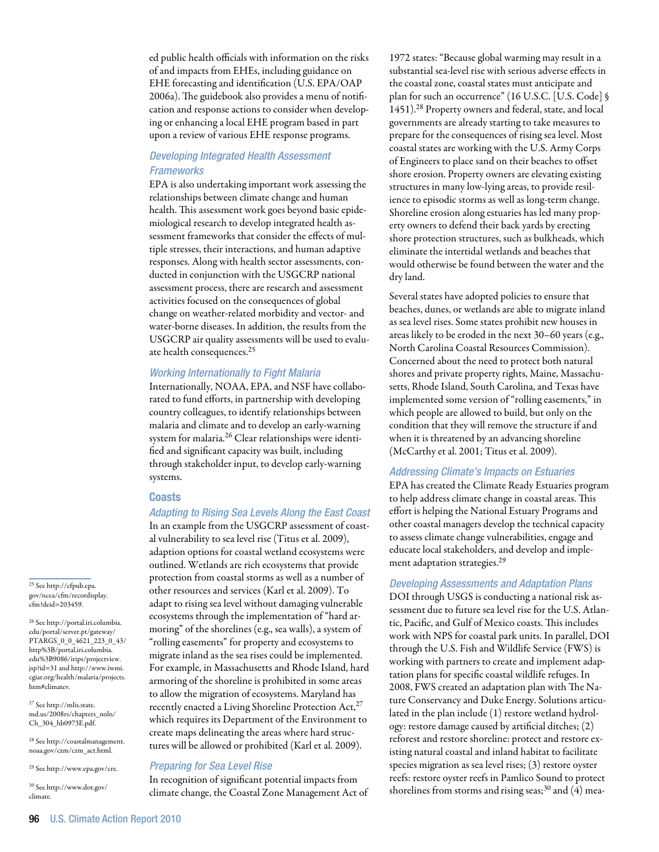ed public health officials with information on the risks of and impacts from EHEs, including guidance on EHE forecasting and identification (U.S. EPA/OAP 2006a). The guidebook also provides a menu of notification and response actions to consider when developing or enhancing a local EHE program based in part upon a review of various EHE response programs.

# *Developing Integrated Health Assessment Frameworks*

EPA is also undertaking important work assessing the relationships between climate change and human health. This assessment work goes beyond basic epidemiological research to develop integrated health assessment frameworks that consider the effects of multiple stresses, their interactions, and human adaptive responses. Along with health sector assessments, conducted in conjunction with the USGCRP national assessment process, there are research and assessment activities focused on the consequences of global change on weather-related morbidity and vector- and water-borne diseases. In addition, the results from the USGCRP air quality assessments will be used to evaluate health consequences.25

## *Working Internationally to Fight Malaria*

Internationally, NOAA, EPA, and NSF have collaborated to fund efforts, in partnership with developing country colleagues, to identify relationships between malaria and climate and to develop an early-warning system for malaria.<sup>26</sup> Clear relationships were identified and significant capacity was built, including through stakeholder input, to develop early-warning systems.

# **Coasts**

# *Adapting to Rising Sea Levels Along the East Coast*

In an example from the USGCRP assessment of coastal vulnerability to sea level rise (Titus et al. 2009), adaption options for coastal wetland ecosystems were outlined. Wetlands are rich ecosystems that provide protection from coastal storms as well as a number of other resources and services (Karl et al. 2009). To adapt to rising sea level without damaging vulnerable ecosystems through the implementation of "hard armoring" of the shorelines (e.g., sea walls), a system of "rolling easements" for property and ecosystems to migrate inland as the sea rises could be implemented. For example, in Massachusetts and Rhode Island, hard armoring of the shoreline is prohibited in some areas to allow the migration of ecosystems. Maryland has recently enacted a Living Shoreline Protection Act,<sup>27</sup> which requires its Department of the Environment to create maps delineating the areas where hard structures will be allowed or prohibited (Karl et al. 2009).

#### *Preparing for Sea Level Rise*

In recognition of significant potential impacts from climate change, the Coastal Zone Management Act of

1972 states: "Because global warming may result in a substantial sea-level rise with serious adverse effects in the coastal zone, coastal states must anticipate and plan for such an occurrence" (16 U.S.C. [U.S. Code] § 1451).28 Property owners and federal, state, and local governments are already starting to take measures to prepare for the consequences of rising sea level. Most coastal states are working with the U.S. Army Corps of Engineers to place sand on their beaches to offset shore erosion. Property owners are elevating existing structures in many low-lying areas, to provide resilience to episodic storms as well as long-term change. Shoreline erosion along estuaries has led many property owners to defend their back yards by erecting shore protection structures, such as bulkheads, which eliminate the intertidal wetlands and beaches that would otherwise be found between the water and the dry land.

Several states have adopted policies to ensure that beaches, dunes, or wetlands are able to migrate inland as sea level rises. Some states prohibit new houses in areas likely to be eroded in the next 30–60 years (e.g., North Carolina Coastal Resources Commission). Concerned about the need to protect both natural shores and private property rights, Maine, Massachusetts, Rhode Island, South Carolina, and Texas have implemented some version of "rolling easements," in which people are allowed to build, but only on the condition that they will remove the structure if and when it is threatened by an advancing shoreline (McCarthy et al. 2001; Titus et al. 2009).

## *Addressing Climate's Impacts on Estuaries*

EPA has created the Climate Ready Estuaries program to help address climate change in coastal areas. This effort is helping the National Estuary Programs and other coastal managers develop the technical capacity to assess climate change vulnerabilities, engage and educate local stakeholders, and develop and implement adaptation strategies.29

## *Developing Assessments and Adaptation Plans*

DOI through USGS is conducting a national risk assessment due to future sea level rise for the U.S. Atlantic, Pacific, and Gulf of Mexico coasts. This includes work with NPS for coastal park units. In parallel, DOI through the U.S. Fish and Wildlife Service (FWS) is working with partners to create and implement adaptation plans for specific coastal wildlife refuges. In 2008, FWS created an adaptation plan with The Nature Conservancy and Duke Energy. Solutions articulated in the plan include (1) restore wetland hydrology: restore damage caused by artificial ditches; (2) reforest and restore shoreline: protect and restore existing natural coastal and inland habitat to facilitate species migration as sea level rises; (3) restore oyster reefs: restore oyster reefs in Pamlico Sound to protect shorelines from storms and rising seas;<sup>30</sup> and  $(4)$  mea-

25 See http://cfpub.epa. gov/ncea/cfm/recordisplay. cfm?deid=203459.

26 See http://portal.iri.columbia. edu/portal/server.pt/gateway/ PTARGS\_0\_0\_4621\_223\_0\_43/ http%3B/portal.iri.columbia. edu%3B9086/irips/projectview. jsp?id=31 and http://www.iwmi. cgiar.org/health/malaria/projects. htm#climatev.

27 See http://mlis.state. md.us/2008rs/chapters\_noln/ Ch\_304\_hb0973E.pdf.

28 See http://coastalmanagement. noaa.gov/czm/czm\_act.html.

29 See http://www.epa.gov/cre.

30 See http://www.dot.gov/ climate.